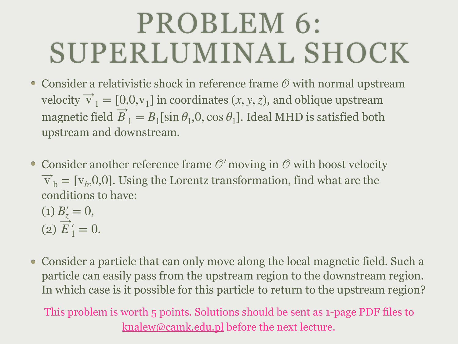## PROBLEM 6: SUPERLUMINAL SHOCK

- Consider a relativistic shock in reference frame  $\mathcal O$  with normal upstream velocity  $\vec{v}_1 = [0, 0, v_1]$  in coordinates  $(x, y, z)$ , and oblique upstream magnetic field  $B_1 = B_1[\sin \theta_1, 0, \cos \theta_1]$ . Ideal MHD is satisfied both upstream and downstream. ⃗
- Consider another reference frame  $\mathcal{O}'$  moving in  $\mathcal{O}$  with boost velocity  $\vec{v}_b = [v_b, 0, 0]$ . Using the Lorentz transformation, find what are the conditions to have: ⃗

(1) 
$$
B'_z = 0
$$
,  
(2)  $\overrightarrow{E}'_1 = 0$ .

• Consider a particle that can only move along the local magnetic field. Such a particle can easily pass from the upstream region to the downstream region. In which case is it possible for this particle to return to the upstream region?

This problem is worth 5 points. Solutions should be sent as 1-page PDF files to [knalew@camk.edu.pl](mailto:knalew@camk.edu.pl) before the next lecture.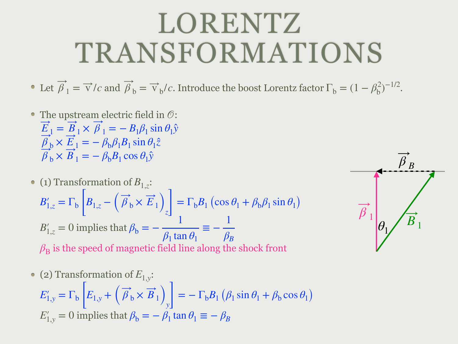## LORENTZ TRANSFORMATIONS

Let  $\overline{\beta}_1 = \overrightarrow{v}/c$  and  $\overrightarrow{\beta}_b = \overrightarrow{v}_b/c$ . Introduce the boost Lorentz factor  $\Gamma_b = (1 - \beta_b^2)^{-1/2}$ . ⃗

The upstream electric field in  $\mathcal{O}$ :  $E_{1} = B_{1} \times \beta_{1} = -B_{1}\beta_{1} \sin \theta_{1} \hat{y}$ ⃗ ⃗ ⃗  $\beta_{\rm b} \times E_1 = -\beta_{\rm b}\beta_1B_1\sin\theta_1\hat{z}$ ⃗ ⃗  $\beta_b \times B_1 = -\beta_b B_1 \cos \theta_1 \hat{y}$ ⃗ ⃗

\n- (1) Transformation of 
$$
B_{1,z}
$$
:
\n- $B'_{1,z} = \Gamma_b \left[ B_{1,z} - \left( \overrightarrow{\beta}_b \times \overrightarrow{E}_1 \right)_z \right] = \Gamma_b B_1 \left( \cos \theta_1 + \beta_b \beta_1 \sin \theta_1 \right)$
\n- $B'_{1,z} = 0$  implies that  $\beta_b = -\frac{1}{\beta_1 \tan \theta_1} \equiv -\frac{1}{\beta_B}$
\n- $\beta_B$  is the speed of magnetic field line along the shock front
\n

(2) Transformation of 
$$
E_{1,y}
$$
:  
\n
$$
E'_{1,y} = \Gamma_b \left[ E_{1,y} + \left( \overrightarrow{\beta}_b \times \overrightarrow{B}_1 \right)_y \right] = -\Gamma_b B_1 \left( \beta_1 \sin \theta_1 + \beta_b \cos \theta_1 \right)
$$
\n
$$
E'_{1,y} = 0 \text{ implies that } \beta_b = -\beta_1 \tan \theta_1 \equiv -\beta_B
$$